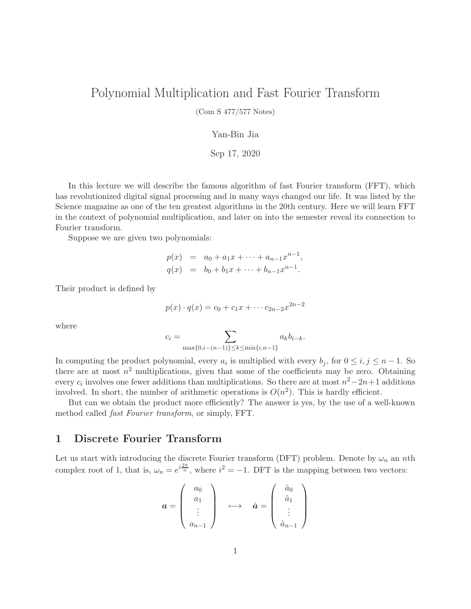# Polynomial Multiplication and Fast Fourier Transform

(Com S 477/577 Notes)

#### Yan-Bin Jia

#### Sep 17, 2020

In this lecture we will describe the famous algorithm of fast Fourier transform (FFT), which has revolutionized digital signal processing and in many ways changed our life. It was listed by the Science magazine as one of the ten greatest algorithms in the 20th century. Here we will learn FFT in the context of polynomial multiplication, and later on into the semester reveal its connection to Fourier transform.

Suppose we are given two polynomials:

$$
p(x) = a_0 + a_1 x + \dots + a_{n-1} x^{n-1},
$$
  
\n
$$
q(x) = b_0 + b_1 x + \dots + b_{n-1} x^{n-1}.
$$

Their product is defined by

$$
p(x) \cdot q(x) = c_0 + c_1 x + \cdots + c_{2n-2} x^{2n-2}
$$

where

$$
c_i = \sum_{\max\{0, i - (n-1)\} \le k \le \min\{i, n-1\}} a_k b_{i-k}.
$$

In computing the product polynomial, every  $a_i$  is multiplied with every  $b_j$ , for  $0 \le i, j \le n-1$ . So there are at most  $n^2$  multiplications, given that some of the coefficients may be zero. Obtaining every  $c_i$  involves one fewer additions than multiplications. So there are at most  $n^2-2n+1$  additions involved. In short, the number of arithmetic operations is  $O(n^2)$ . This is hardly efficient.

But can we obtain the product more efficiently? The answer is yes, by the use of a well-known method called fast Fourier transform, or simply, FFT.

### 1 Discrete Fourier Transform

Let us start with introducing the discrete Fourier transform (DFT) problem. Denote by  $\omega_n$  an nth complex root of 1, that is,  $\omega_n = e^{i\frac{2\pi}{n}}$ , where  $i^2 = -1$ . DFT is the mapping between two vectors:

$$
\boldsymbol{a} = \left( \begin{array}{c} a_0 \\ a_1 \\ \vdots \\ a_{n-1} \end{array} \right) \quad \longmapsto \quad \hat{\boldsymbol{a}} = \left( \begin{array}{c} \hat{a}_0 \\ \hat{a}_1 \\ \vdots \\ \hat{a}_{n-1} \end{array} \right)
$$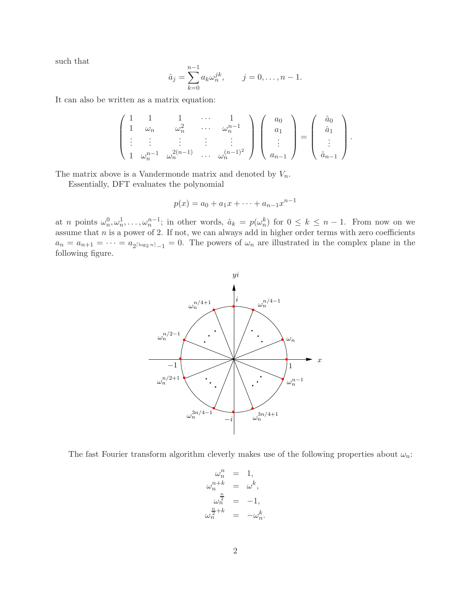such that

$$
\hat{a}_j = \sum_{k=0}^{n-1} a_k \omega_n^{jk}, \qquad j = 0, \dots, n-1.
$$

It can also be written as a matrix equation:

$$
\begin{pmatrix} 1 & 1 & 1 & \cdots & 1 \\ 1 & \omega_n & \omega_n^2 & \cdots & \omega_n^{n-1} \\ \vdots & \vdots & \vdots & \vdots & \vdots \\ 1 & \omega_n^{n-1} & \omega_n^{2(n-1)} & \cdots & \omega_n^{(n-1)^2} \end{pmatrix} \begin{pmatrix} a_0 \\ a_1 \\ \vdots \\ a_{n-1} \end{pmatrix} = \begin{pmatrix} \hat{a}_0 \\ \hat{a}_1 \\ \vdots \\ \hat{a}_{n-1} \end{pmatrix}.
$$

The matrix above is a Vandermonde matrix and denoted by  $V_n$ .

Essentially, DFT evaluates the polynomial

$$
p(x) = a_0 + a_1x + \dots + a_{n-1}x^{n-1}
$$

at *n* points  $\omega_n^0, \omega_n^1, \ldots, \omega_n^{n-1}$ ; in other words,  $\hat{a}_k = p(\omega_n^k)$  for  $0 \leq k \leq n-1$ . From now on we assume that  $n$  is a power of 2. If not, we can always add in higher order terms with zero coefficients  $a_n = a_{n+1} = \cdots = a_{2^{\lceil \log_2 n \rceil} - 1} = 0$ . The powers of  $\omega_n$  are illustrated in the complex plane in the following figure.



The fast Fourier transform algorithm cleverly makes use of the following properties about  $\omega_n$ :

$$
\begin{array}{rcl}\n\omega_n^n & = & 1, \\
\omega_n^{n+k} & = & \omega^k, \\
\omega_n^{\frac{n}{2}} & = & -1, \\
\omega_n^{\frac{n}{2}+k} & = & -\omega_n^k.\n\end{array}
$$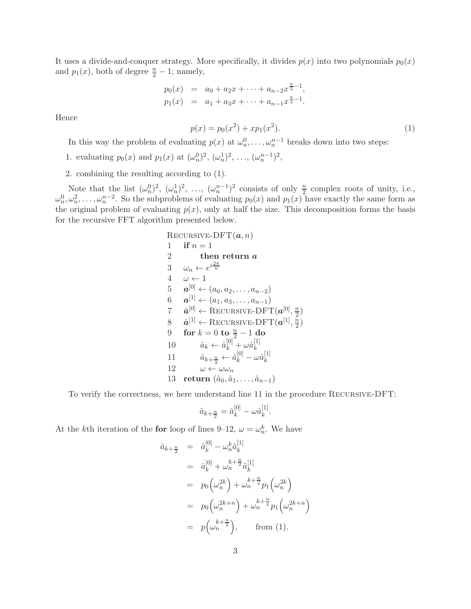It uses a divide-and-conquer strategy. More specifically, it divides  $p(x)$  into two polynomials  $p_0(x)$ and  $p_1(x)$ , both of degree  $\frac{n}{2} - 1$ ; namely,

$$
p_0(x) = a_0 + a_2x + \dots + a_{n-2}x^{\frac{n}{2}-1},
$$
  
\n
$$
p_1(x) = a_1 + a_3x + \dots + a_{n-1}x^{\frac{n}{2}-1}.
$$

Hence

$$
p(x) = p_0(x^2) + xp_1(x^2).
$$
\n(1)

In this way the problem of evaluating  $p(x)$  at  $\omega_n^0, \ldots, \omega_n^{n-1}$  breaks down into two steps:

- 1. evaluating  $p_0(x)$  and  $p_1(x)$  at  $(\omega_n^0)^2$ ,  $(\omega_n^1)^2$ , ...,  $(\omega_n^{n-1})^2$ ,
- 2. combining the resulting according to (1).

Note that the list  $(\omega_n^0)^2$ ,  $(\omega_n^1)^2$ , ...,  $(\omega_n^{n-1})^2$  consists of only  $\frac{n}{2}$  complex roots of unity, i.e.,  $\omega_n^0, \omega_n^2, \ldots, \omega_n^{n-2}$ . So the subproblems of evaluating  $p_0(x)$  and  $p_1(x)$  have exactly the same form as the original problem of evaluating  $p(x)$ , only at half the size. This decomposition forms the basis for the recursive FFT algorithm presented below.

RECURSIVE-DFT(
$$
a, n
$$
)  
\n1 if  $n = 1$   
\n2 then return  $a$   
\n3  $\omega_n \leftarrow e^{i\frac{2\pi}{n}}$   
\n4  $\omega \leftarrow 1$   
\n5  $a^{[0]} \leftarrow (a_0, a_2, \ldots, a_{n-2})$   
\n6  $a^{[1]} \leftarrow (a_1, a_3, \ldots, a_{n-1})$   
\n7  $\hat{a}^{[0]} \leftarrow \text{RECURSIVE-DFT}(a^{[0]}, \frac{n}{2})$   
\n8  $\hat{a}^{[1]} \leftarrow \text{RECURSIVE-DFT}(a^{[1]}, \frac{n}{2})$   
\n9 for  $k = 0$  to  $\frac{n}{2} - 1$  do  
\n10  $\hat{a}_k \leftarrow \hat{a}_k^{[0]} + \omega \hat{a}_k^{[1]}$   
\n11  $\hat{a}_{k+\frac{n}{2}} \leftarrow \hat{a}_k^{[0]} - \omega \hat{a}_k^{[1]}$   
\n12  $\omega \leftarrow \omega \omega_n$   
\n13 return  $(\hat{a}_0, \hat{a}_1, \ldots, \hat{a}_{n-1})$ 

To verify the correctness, we here understand line 11 in the procedure Recursive-DFT:

$$
\hat{a}_{k+\frac{n}{2}} = \hat{a}_k^{[0]} - \omega \hat{a}_k^{[1]}.
$$

At the *k*th iteration of the **for** loop of lines 9–12,  $\omega = \omega_n^k$ . We have

$$
\hat{a}_{k+\frac{n}{2}} = \hat{a}_{k}^{[0]} - \omega_{n}^{k} \hat{a}_{k}^{[1]}
$$
\n
$$
= \hat{a}_{k}^{[0]} + \omega_{n}^{k+\frac{n}{2}} \hat{a}_{k}^{[1]}
$$
\n
$$
= p_{0} \left( \omega_{n}^{2k} \right) + \omega_{n}^{k+\frac{n}{2}} p_{1} \left( \omega_{n}^{2k} \right)
$$
\n
$$
= p_{0} \left( \omega_{n}^{2k+n} \right) + \omega_{n}^{k+\frac{n}{2}} p_{1} \left( \omega_{n}^{2k+n} \right)
$$
\n
$$
= p \left( \omega_{n}^{k+\frac{n}{2}} \right), \qquad \text{from (1).}
$$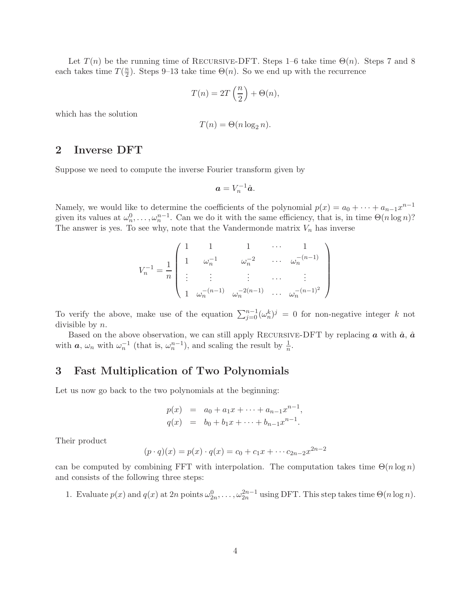Let  $T(n)$  be the running time of RECURSIVE-DFT. Steps 1–6 take time  $\Theta(n)$ . Steps 7 and 8 each takes time  $T(\frac{n}{2})$  $\frac{n}{2}$ ). Steps 9–13 take time  $\Theta(n)$ . So we end up with the recurrence

$$
T(n) = 2T\left(\frac{n}{2}\right) + \Theta(n),
$$

which has the solution

$$
T(n) = \Theta(n \log_2 n).
$$

## 2 Inverse DFT

Suppose we need to compute the inverse Fourier transform given by

$$
a=V_n^{-1}\hat{a}.
$$

Namely, we would like to determine the coefficients of the polynomial  $p(x) = a_0 + \cdots + a_{n-1}x^{n-1}$ given its values at  $\omega_n^0, \ldots, \omega_n^{n-1}$ . Can we do it with the same efficiency, that is, in time  $\Theta(n \log n)$ ? The answer is yes. To see why, note that the Vandermonde matrix  $V_n$  has inverse

$$
V_n^{-1} = \frac{1}{n} \begin{pmatrix} 1 & 1 & 1 & \cdots & 1 \\ 1 & \omega_n^{-1} & \omega_n^{-2} & \cdots & \omega_n^{-(n-1)} \\ \vdots & \vdots & \vdots & \cdots & \vdots \\ 1 & \omega_n^{-(n-1)} & \omega_n^{-2(n-1)} & \cdots & \omega_n^{-(n-1)^2} \end{pmatrix}
$$

To verify the above, make use of the equation  $\sum_{j=0}^{n-1} (\omega_n^k)^j = 0$  for non-negative integer k not divisible by  $n$ .

Based on the above observation, we can still apply RECURSIVE-DFT by replacing  $\boldsymbol{a}$  with  $\hat{\boldsymbol{a}}$ ,  $\hat{\boldsymbol{a}}$ with  $a, \omega_n$  with  $\omega_n^{-1}$  (that is,  $\omega_n^{n-1}$ ), and scaling the result by  $\frac{1}{n}$ .

# 3 Fast Multiplication of Two Polynomials

Let us now go back to the two polynomials at the beginning:

$$
p(x) = a_0 + a_1 x + \dots + a_{n-1} x^{n-1},
$$
  
\n
$$
q(x) = b_0 + b_1 x + \dots + b_{n-1} x^{n-1}.
$$

Their product

$$
(p \cdot q)(x) = p(x) \cdot q(x) = c_0 + c_1 x + \dots + c_{2n-2} x^{2n-2}
$$

can be computed by combining FFT with interpolation. The computation takes time  $\Theta(n \log n)$ and consists of the following three steps:

1. Evaluate  $p(x)$  and  $q(x)$  at  $2n$  points  $\omega_{2n}^0, \ldots, \omega_{2n}^{2n-1}$  using DFT. This step takes time  $\Theta(n \log n)$ .